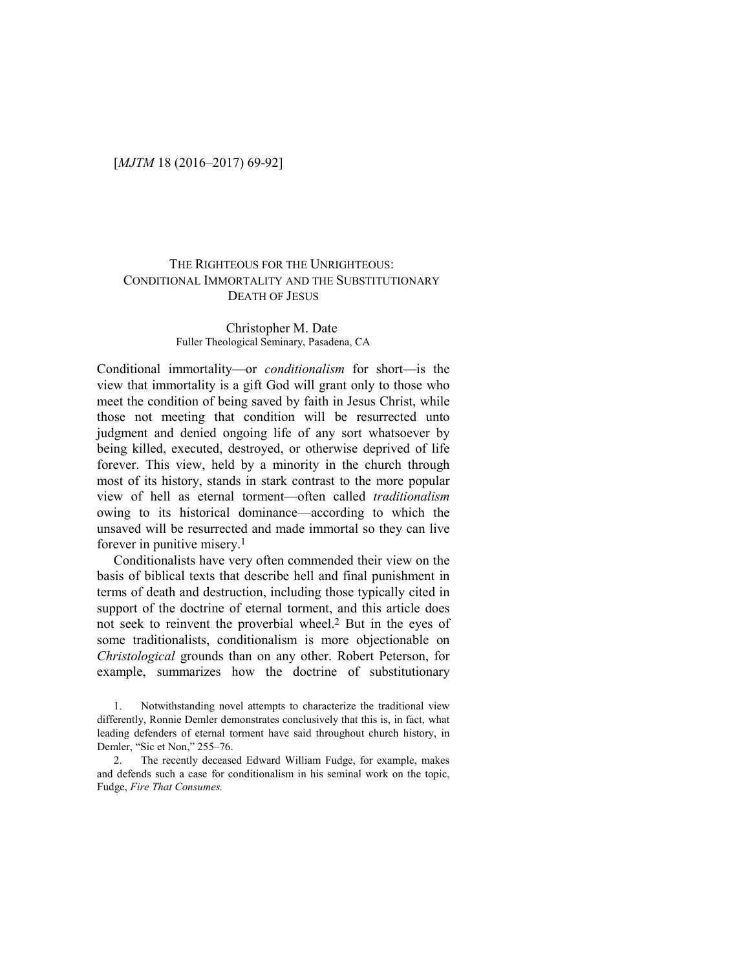## THE RIGHTEOUS FOR THE UNRIGHTEOUS: CONDITIONAL IMMORTALITY AND THE SUBSTITUTIONARY DEATH OF JESUS

#### Christopher M. Date Fuller Theological Seminary, Pasadena, CA

Conditional immortality—or *conditionalism* for short—is the view that immortality is a gift God will grant only to those who meet the condition of being saved by faith in Jesus Christ, while those not meeting that condition will be resurrected unto judgment and denied ongoing life of any sort whatsoever by being killed, executed, destroyed, or otherwise deprived of life forever. This view, held by a minority in the church through most of its history, stands in stark contrast to the more popular view of hell as eternal torment—often called *traditionalism*  owing to its historical dominance—according to which the unsaved will be resurrected and made immortal so they can live forever in punitive misery.<sup>1</sup>

Conditionalists have very often commended their view on the basis of biblical texts that describe hell and final punishment in terms of death and destruction, including those typically cited in support of the doctrine of eternal torment, and this article does not seek to reinvent the proverbial wheel.2 But in the eyes of some traditionalists, conditionalism is more objectionable on *Christological* grounds than on any other. Robert Peterson, for example, summarizes how the doctrine of substitutionary

<sup>1.</sup> Notwithstanding novel attempts to characterize the traditional view differently, Ronnie Demler demonstrates conclusively that this is, in fact, what leading defenders of eternal torment have said throughout church history, in Demler, "Sic et Non," 255–76.

<sup>2.</sup> The recently deceased Edward William Fudge, for example, makes and defends such a case for conditionalism in his seminal work on the topic, Fudge, *Fire That Consumes.*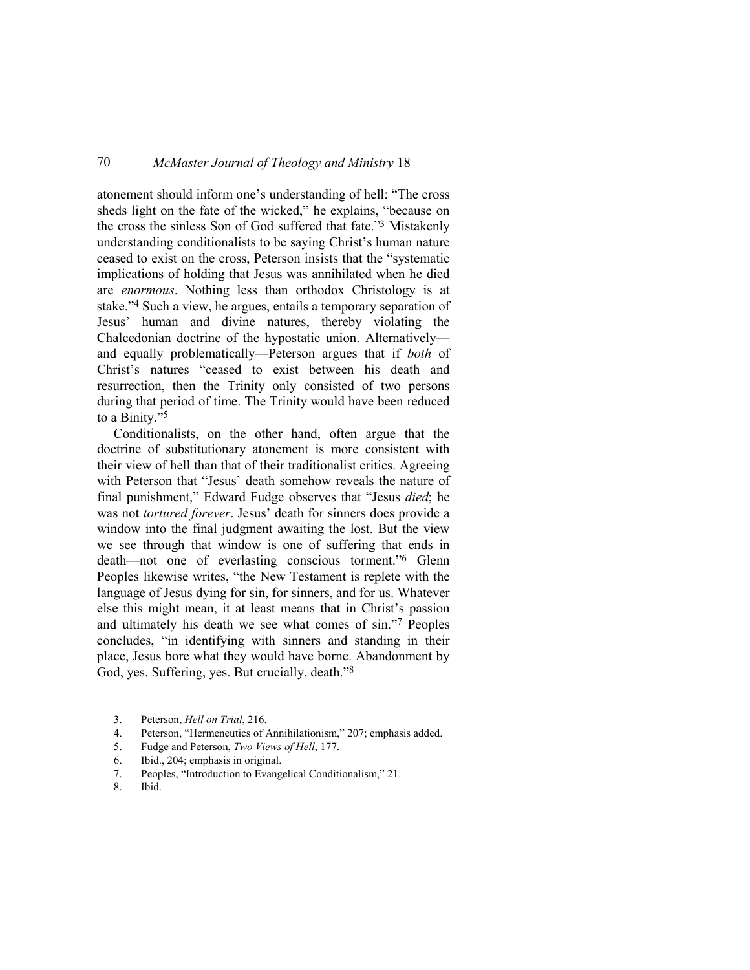atonement should inform one's understanding of hell: "The cross sheds light on the fate of the wicked," he explains, "because on the cross the sinless Son of God suffered that fate."3 Mistakenly understanding conditionalists to be saying Christ's human nature ceased to exist on the cross, Peterson insists that the "systematic implications of holding that Jesus was annihilated when he died are *enormous*. Nothing less than orthodox Christology is at stake."4 Such a view, he argues, entails a temporary separation of Jesus' human and divine natures, thereby violating the Chalcedonian doctrine of the hypostatic union. Alternatively and equally problematically—Peterson argues that if *both* of Christ's natures "ceased to exist between his death and resurrection, then the Trinity only consisted of two persons during that period of time. The Trinity would have been reduced to a Binity."<sup>5</sup>

Conditionalists, on the other hand, often argue that the doctrine of substitutionary atonement is more consistent with their view of hell than that of their traditionalist critics. Agreeing with Peterson that "Jesus' death somehow reveals the nature of final punishment," Edward Fudge observes that "Jesus *died*; he was not *tortured forever*. Jesus' death for sinners does provide a window into the final judgment awaiting the lost. But the view we see through that window is one of suffering that ends in death—not one of everlasting conscious torment."6 Glenn Peoples likewise writes, "the New Testament is replete with the language of Jesus dying for sin, for sinners, and for us. Whatever else this might mean, it at least means that in Christ's passion and ultimately his death we see what comes of sin."7 Peoples concludes, "in identifying with sinners and standing in their place, Jesus bore what they would have borne. Abandonment by God, yes. Suffering, yes. But crucially, death."<sup>8</sup>

- 3. Peterson, *Hell on Trial*, 216.
- 4. Peterson, "Hermeneutics of Annihilationism," 207; emphasis added.
- 5. Fudge and Peterson, *Two Views of Hell*, 177.
- 6. Ibid., 204; emphasis in original.
- 7. Peoples, "Introduction to Evangelical Conditionalism," 21.
- 8. Ibid.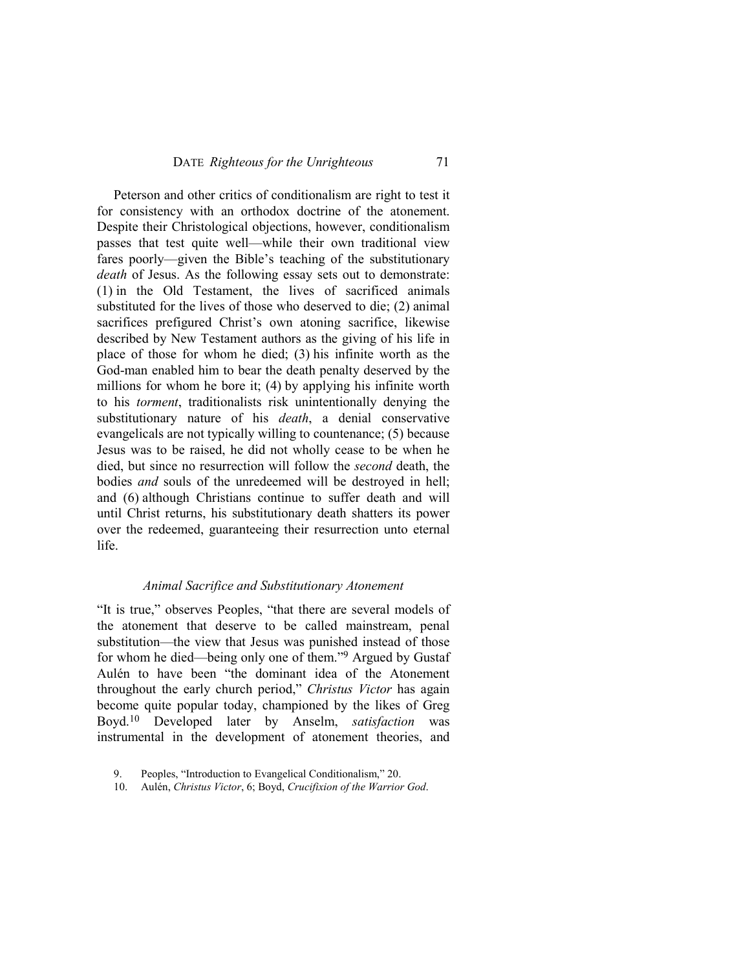Peterson and other critics of conditionalism are right to test it for consistency with an orthodox doctrine of the atonement. Despite their Christological objections, however, conditionalism passes that test quite well—while their own traditional view fares poorly—given the Bible's teaching of the substitutionary *death* of Jesus. As the following essay sets out to demonstrate: (1) in the Old Testament, the lives of sacrificed animals substituted for the lives of those who deserved to die; (2) animal sacrifices prefigured Christ's own atoning sacrifice, likewise described by New Testament authors as the giving of his life in place of those for whom he died; (3) his infinite worth as the God-man enabled him to bear the death penalty deserved by the millions for whom he bore it; (4) by applying his infinite worth to his *torment*, traditionalists risk unintentionally denying the substitutionary nature of his *death*, a denial conservative evangelicals are not typically willing to countenance; (5) because Jesus was to be raised, he did not wholly cease to be when he died, but since no resurrection will follow the *second* death, the bodies *and* souls of the unredeemed will be destroyed in hell; and (6) although Christians continue to suffer death and will until Christ returns, his substitutionary death shatters its power over the redeemed, guaranteeing their resurrection unto eternal life.

### *Animal Sacrifice and Substitutionary Atonement*

"It is true," observes Peoples, "that there are several models of the atonement that deserve to be called mainstream, penal substitution—the view that Jesus was punished instead of those for whom he died—being only one of them."9 Argued by Gustaf Aulén to have been "the dominant idea of the Atonement throughout the early church period," *Christus Victor* has again become quite popular today, championed by the likes of Greg Boyd.10 Developed later by Anselm, *satisfaction* was instrumental in the development of atonement theories, and

<sup>9.</sup> Peoples, "Introduction to Evangelical Conditionalism," 20.

<sup>10.</sup> Aulén, *Christus Victor*, 6; Boyd, *Crucifixion of the Warrior God*.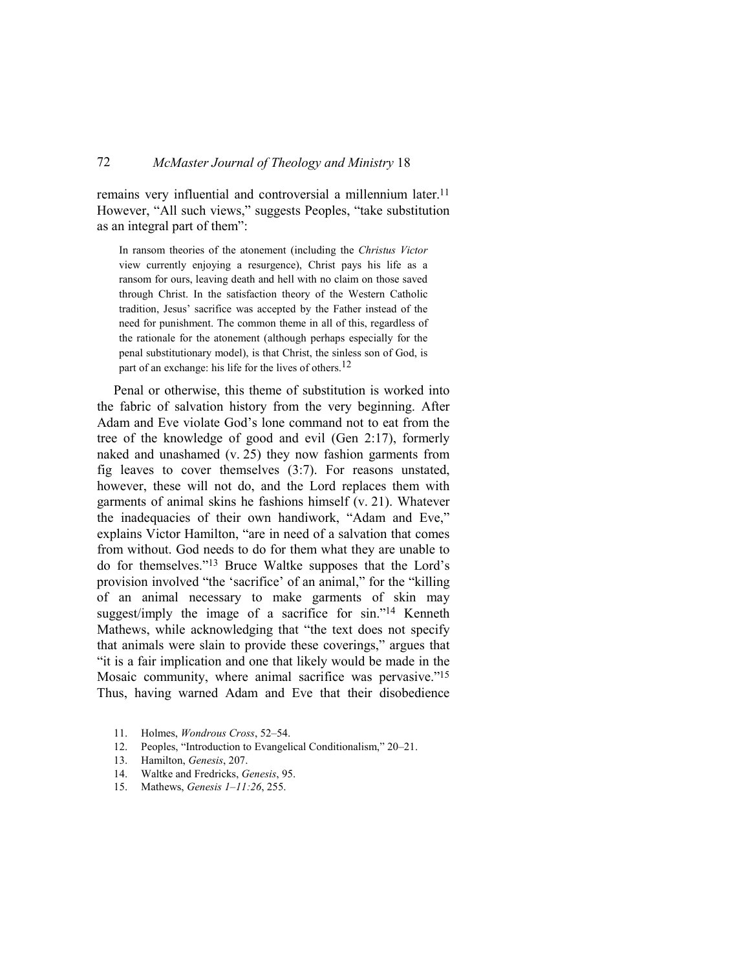remains very influential and controversial a millennium later.<sup>11</sup> However, "All such views," suggests Peoples, "take substitution as an integral part of them":

In ransom theories of the atonement (including the *Christus Victor* view currently enjoying a resurgence), Christ pays his life as a ransom for ours, leaving death and hell with no claim on those saved through Christ. In the satisfaction theory of the Western Catholic tradition, Jesus' sacrifice was accepted by the Father instead of the need for punishment. The common theme in all of this, regardless of the rationale for the atonement (although perhaps especially for the penal substitutionary model), is that Christ, the sinless son of God, is part of an exchange: his life for the lives of others.<sup>12</sup>

Penal or otherwise, this theme of substitution is worked into the fabric of salvation history from the very beginning. After Adam and Eve violate God's lone command not to eat from the tree of the knowledge of good and evil (Gen 2:17), formerly naked and unashamed (v. 25) they now fashion garments from fig leaves to cover themselves (3:7). For reasons unstated, however, these will not do, and the Lord replaces them with garments of animal skins he fashions himself (v. 21). Whatever the inadequacies of their own handiwork, "Adam and Eve," explains Victor Hamilton, "are in need of a salvation that comes from without. God needs to do for them what they are unable to do for themselves."13 Bruce Waltke supposes that the Lord's provision involved "the 'sacrifice' of an animal," for the "killing of an animal necessary to make garments of skin may suggest/imply the image of a sacrifice for sin."14 Kenneth Mathews, while acknowledging that "the text does not specify that animals were slain to provide these coverings," argues that "it is a fair implication and one that likely would be made in the Mosaic community, where animal sacrifice was pervasive."<sup>15</sup> Thus, having warned Adam and Eve that their disobedience

- 11. Holmes, *Wondrous Cross*, 52–54.
- 12. Peoples, "Introduction to Evangelical Conditionalism," 20–21.
- 13. Hamilton, *Genesis*, 207.
- 14. Waltke and Fredricks, *Genesis*, 95.
- 15. Mathews, *Genesis 1–11:26*, 255.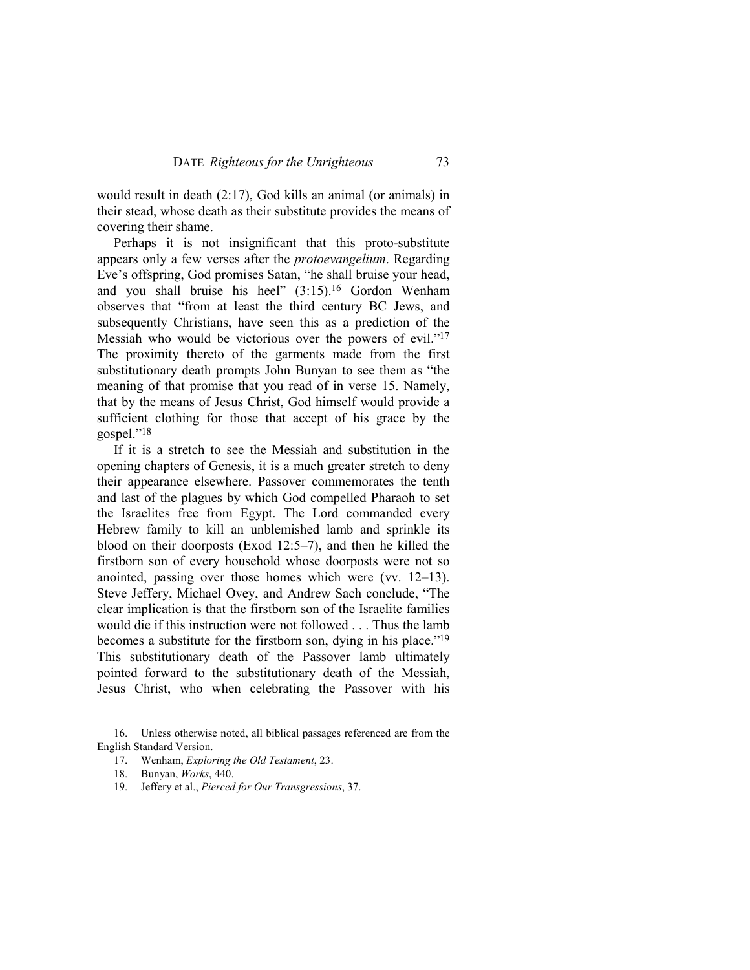would result in death (2:17), God kills an animal (or animals) in their stead, whose death as their substitute provides the means of covering their shame.

Perhaps it is not insignificant that this proto-substitute appears only a few verses after the *protoevangelium*. Regarding Eve's offspring, God promises Satan, "he shall bruise your head, and you shall bruise his heel" (3:15).16 Gordon Wenham observes that "from at least the third century BC Jews, and subsequently Christians, have seen this as a prediction of the Messiah who would be victorious over the powers of evil."<sup>17</sup> The proximity thereto of the garments made from the first substitutionary death prompts John Bunyan to see them as "the meaning of that promise that you read of in verse 15. Namely, that by the means of Jesus Christ, God himself would provide a sufficient clothing for those that accept of his grace by the gospel."<sup>18</sup>

If it is a stretch to see the Messiah and substitution in the opening chapters of Genesis, it is a much greater stretch to deny their appearance elsewhere. Passover commemorates the tenth and last of the plagues by which God compelled Pharaoh to set the Israelites free from Egypt. The Lord commanded every Hebrew family to kill an unblemished lamb and sprinkle its blood on their doorposts (Exod 12:5–7), and then he killed the firstborn son of every household whose doorposts were not so anointed, passing over those homes which were (vv. 12–13). Steve Jeffery, Michael Ovey, and Andrew Sach conclude, "The clear implication is that the firstborn son of the Israelite families would die if this instruction were not followed . . . Thus the lamb becomes a substitute for the firstborn son, dying in his place."<sup>19</sup> This substitutionary death of the Passover lamb ultimately pointed forward to the substitutionary death of the Messiah, Jesus Christ, who when celebrating the Passover with his

17. Wenham, *Exploring the Old Testament*, 23.

19. Jeffery et al., *Pierced for Our Transgressions*, 37.

<sup>16.</sup> Unless otherwise noted, all biblical passages referenced are from the English Standard Version.

<sup>18.</sup> Bunyan, *Works*, 440.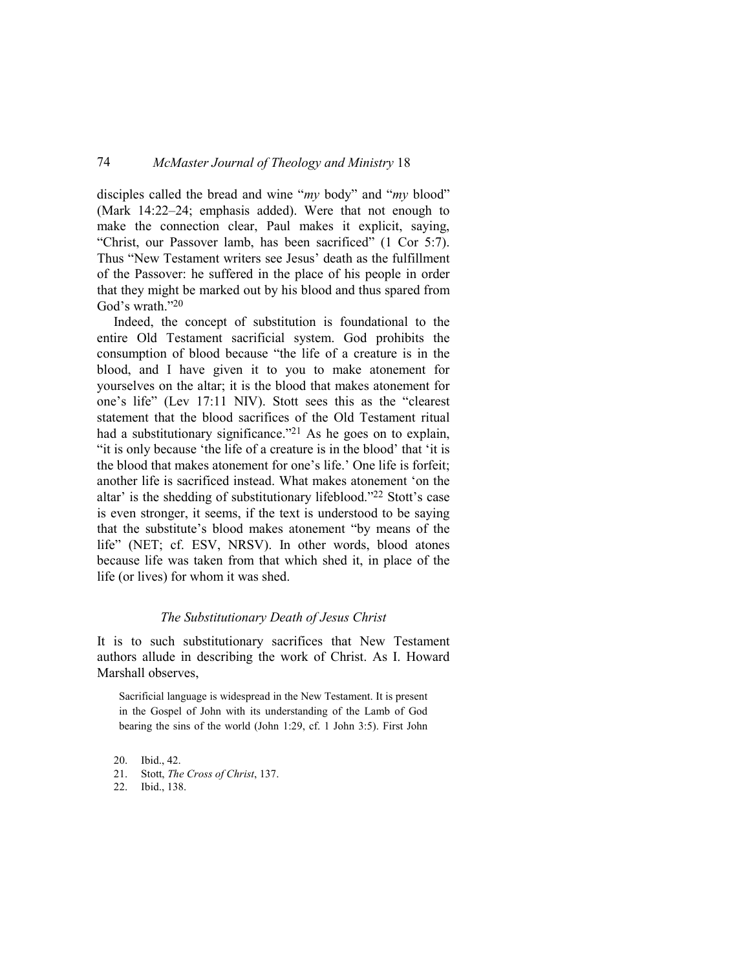disciples called the bread and wine "*my* body" and "*my* blood" (Mark 14:22–24; emphasis added). Were that not enough to make the connection clear, Paul makes it explicit, saying, "Christ, our Passover lamb, has been sacrificed" (1 Cor 5:7). Thus "New Testament writers see Jesus' death as the fulfillment of the Passover: he suffered in the place of his people in order that they might be marked out by his blood and thus spared from God's wrath."<sup>20</sup>

Indeed, the concept of substitution is foundational to the entire Old Testament sacrificial system. God prohibits the consumption of blood because "the life of a creature is in the blood, and I have given it to you to make atonement for yourselves on the altar; it is the blood that makes atonement for one's life" (Lev 17:11 NIV). Stott sees this as the "clearest statement that the blood sacrifices of the Old Testament ritual had a substitutionary significance."<sup>21</sup> As he goes on to explain, "it is only because 'the life of a creature is in the blood' that 'it is the blood that makes atonement for one's life.' One life is forfeit; another life is sacrificed instead. What makes atonement 'on the altar' is the shedding of substitutionary lifeblood."22 Stott's case is even stronger, it seems, if the text is understood to be saying that the substitute's blood makes atonement "by means of the life" (NET; cf. ESV, NRSV). In other words, blood atones because life was taken from that which shed it, in place of the life (or lives) for whom it was shed.

#### *The Substitutionary Death of Jesus Christ*

It is to such substitutionary sacrifices that New Testament authors allude in describing the work of Christ. As I. Howard Marshall observes,

Sacrificial language is widespread in the New Testament. It is present in the Gospel of John with its understanding of the Lamb of God bearing the sins of the world (John 1:29, cf. 1 John 3:5). First John

20. Ibid., 42.

21. Stott, *The Cross of Christ*, 137.

22. Ibid., 138.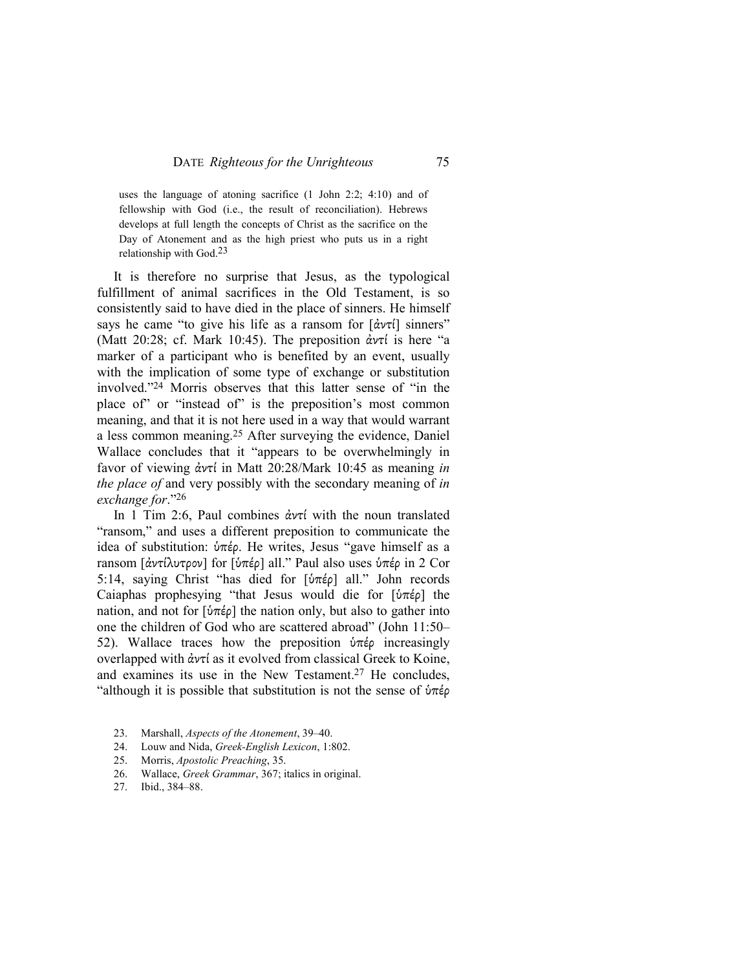uses the language of atoning sacrifice (1 John 2:2; 4:10) and of fellowship with God (i.e., the result of reconciliation). Hebrews develops at full length the concepts of Christ as the sacrifice on the Day of Atonement and as the high priest who puts us in a right relationship with God. $23$ 

It is therefore no surprise that Jesus, as the typological fulfillment of animal sacrifices in the Old Testament, is so consistently said to have died in the place of sinners. He himself says he came "to give his life as a ransom for [ἀντί] sinners" (Matt 20:28; cf. Mark 10:45). The preposition  $\dot{\alpha}v\tau$  is here "a marker of a participant who is benefited by an event, usually with the implication of some type of exchange or substitution involved."24 Morris observes that this latter sense of "in the place of" or "instead of" is the preposition's most common meaning, and that it is not here used in a way that would warrant a less common meaning.25 After surveying the evidence, Daniel Wallace concludes that it "appears to be overwhelmingly in favor of viewing ἀντί in Matt 20:28/Mark 10:45 as meaning *in the place of* and very possibly with the secondary meaning of *in exchange for*."<sup>26</sup>

In 1 Tim 2:6, Paul combines ἀντί with the noun translated "ransom," and uses a different preposition to communicate the idea of substitution: ὑπέρ. He writes, Jesus "gave himself as a ransom [ἀντίλυτρον] for [ὑπέρ] all." Paul also uses ὑπέρ in 2 Cor 5:14, saying Christ "has died for [ὑπέρ] all." John records Caiaphas prophesying "that Jesus would die for [ὑπέρ] the nation, and not for [ύπέρ] the nation only, but also to gather into one the children of God who are scattered abroad" (John 11:50– 52). Wallace traces how the preposition ὑπέρ increasingly overlapped with ἀντί as it evolved from classical Greek to Koine, and examines its use in the New Testament.27 He concludes, "although it is possible that substitution is not the sense of  $\phi \pi \epsilon \rho$ 

- 23. Marshall, *Aspects of the Atonement*, 39–40.
- 24. Louw and Nida, *Greek-English Lexicon*, 1:802.
- 25. Morris, *Apostolic Preaching*, 35.
- 26. Wallace, *Greek Grammar*, 367; italics in original.
- 27. Ibid., 384–88.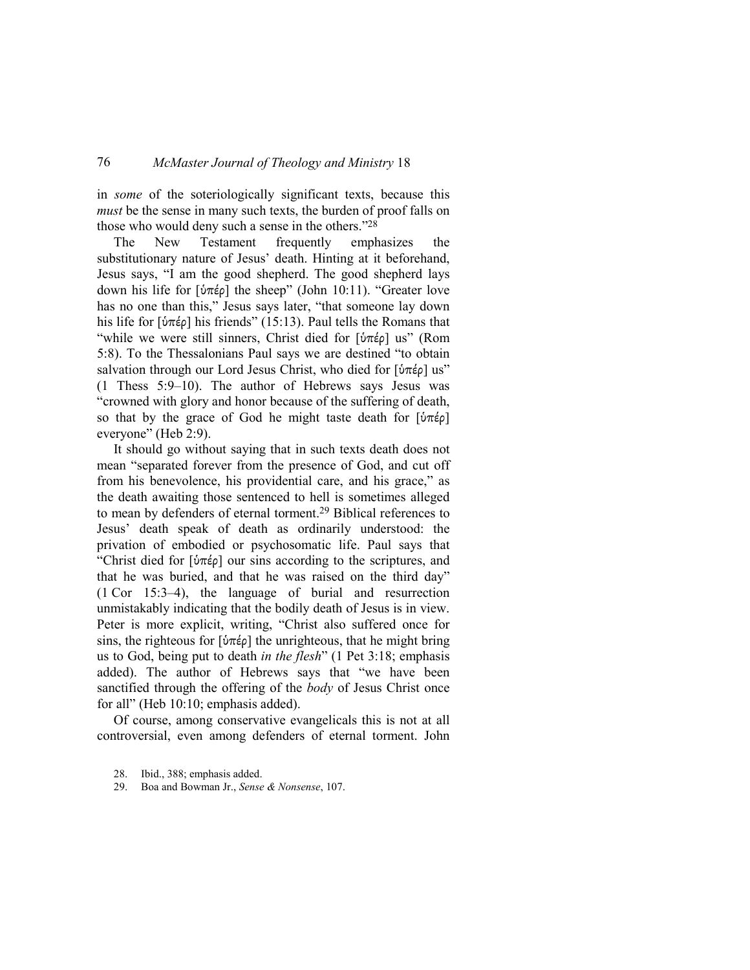in *some* of the soteriologically significant texts, because this *must* be the sense in many such texts, the burden of proof falls on those who would deny such a sense in the others."<sup>28</sup>

The New Testament frequently emphasizes the substitutionary nature of Jesus' death. Hinting at it beforehand, Jesus says, "I am the good shepherd. The good shepherd lays down his life for [ὑπέρ] the sheep" (John 10:11). "Greater love has no one than this," Jesus says later, "that someone lay down his life for [ὑπέρ] his friends" (15:13). Paul tells the Romans that "while we were still sinners, Christ died for [ὑπέρ] us" (Rom 5:8). To the Thessalonians Paul says we are destined "to obtain salvation through our Lord Jesus Christ, who died for [ὑπέρ] us" (1 Thess 5:9–10). The author of Hebrews says Jesus was "crowned with glory and honor because of the suffering of death, so that by the grace of God he might taste death for [ὑπέρ] everyone" (Heb 2:9).

It should go without saying that in such texts death does not mean "separated forever from the presence of God, and cut off from his benevolence, his providential care, and his grace," as the death awaiting those sentenced to hell is sometimes alleged to mean by defenders of eternal torment.29 Biblical references to Jesus' death speak of death as ordinarily understood: the privation of embodied or psychosomatic life. Paul says that "Christ died for  $[\hat{v}\pi \hat{\epsilon}\rho]$  our sins according to the scriptures, and that he was buried, and that he was raised on the third day" (1 Cor 15:3–4), the language of burial and resurrection unmistakably indicating that the bodily death of Jesus is in view. Peter is more explicit, writing, "Christ also suffered once for sins, the righteous for  $[\hat{v}\pi \hat{\epsilon} \rho]$  the unrighteous, that he might bring us to God, being put to death *in the flesh*" (1 Pet 3:18; emphasis added). The author of Hebrews says that "we have been sanctified through the offering of the *body* of Jesus Christ once for all" (Heb 10:10; emphasis added).

Of course, among conservative evangelicals this is not at all controversial, even among defenders of eternal torment. John

29. Boa and Bowman Jr., *Sense & Nonsense*, 107.

<sup>28.</sup> Ibid., 388; emphasis added.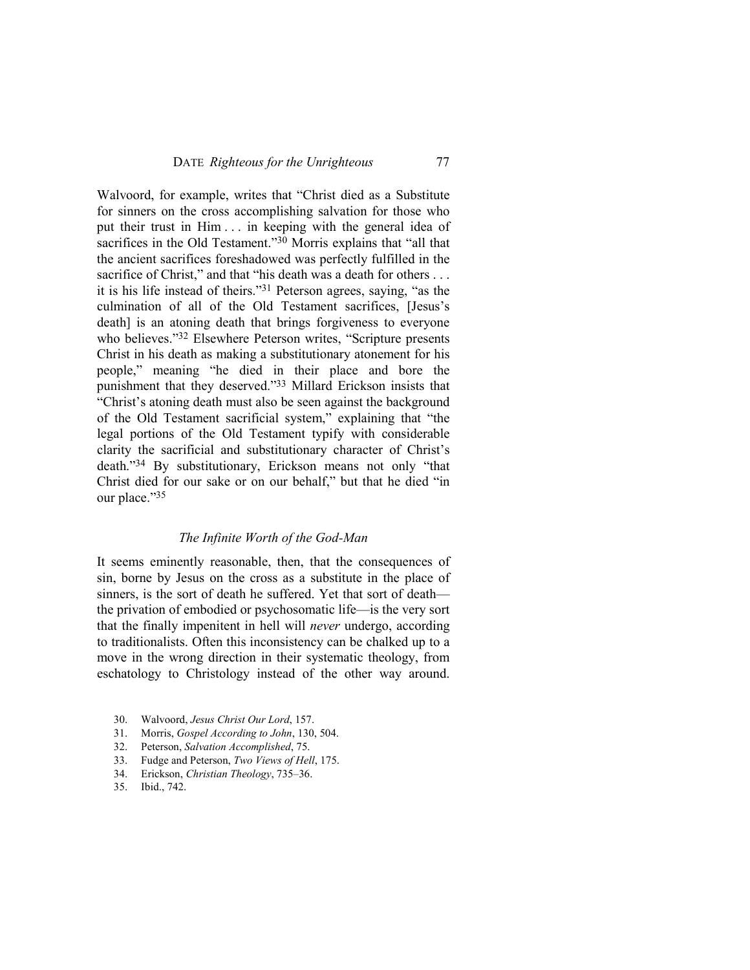Walvoord, for example, writes that "Christ died as a Substitute for sinners on the cross accomplishing salvation for those who put their trust in Him . . . in keeping with the general idea of sacrifices in the Old Testament."<sup>30</sup> Morris explains that "all that the ancient sacrifices foreshadowed was perfectly fulfilled in the sacrifice of Christ," and that "his death was a death for others . . . it is his life instead of theirs."31 Peterson agrees, saying, "as the culmination of all of the Old Testament sacrifices, [Jesus's death] is an atoning death that brings forgiveness to everyone who believes."<sup>32</sup> Elsewhere Peterson writes, "Scripture presents Christ in his death as making a substitutionary atonement for his people," meaning "he died in their place and bore the punishment that they deserved."33 Millard Erickson insists that "Christ's atoning death must also be seen against the background of the Old Testament sacrificial system," explaining that "the legal portions of the Old Testament typify with considerable clarity the sacrificial and substitutionary character of Christ's death."34 By substitutionary, Erickson means not only "that Christ died for our sake or on our behalf," but that he died "in our place."35

### *The Infinite Worth of the God-Man*

It seems eminently reasonable, then, that the consequences of sin, borne by Jesus on the cross as a substitute in the place of sinners, is the sort of death he suffered. Yet that sort of death the privation of embodied or psychosomatic life—is the very sort that the finally impenitent in hell will *never* undergo, according to traditionalists. Often this inconsistency can be chalked up to a move in the wrong direction in their systematic theology, from eschatology to Christology instead of the other way around.

- 30. Walvoord, *Jesus Christ Our Lord*, 157.
- 31. Morris, *Gospel According to John*, 130, 504.
- 32. Peterson, *Salvation Accomplished*, 75.
- 33. Fudge and Peterson, *Two Views of Hell*, 175.
- 34. Erickson, *Christian Theology*, 735–36.
- 35. Ibid., 742.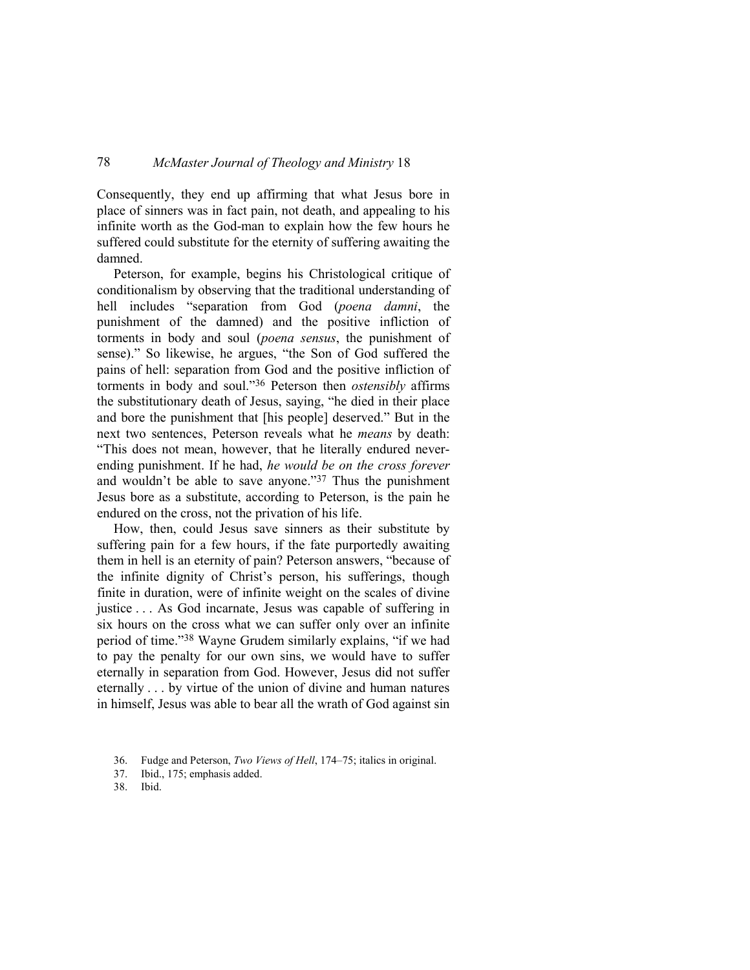Consequently, they end up affirming that what Jesus bore in place of sinners was in fact pain, not death, and appealing to his infinite worth as the God-man to explain how the few hours he suffered could substitute for the eternity of suffering awaiting the damned.

Peterson, for example, begins his Christological critique of conditionalism by observing that the traditional understanding of hell includes "separation from God (*poena damni*, the punishment of the damned) and the positive infliction of torments in body and soul (*poena sensus*, the punishment of sense)." So likewise, he argues, "the Son of God suffered the pains of hell: separation from God and the positive infliction of torments in body and soul."36 Peterson then *ostensibly* affirms the substitutionary death of Jesus, saying, "he died in their place and bore the punishment that [his people] deserved." But in the next two sentences, Peterson reveals what he *means* by death: "This does not mean, however, that he literally endured neverending punishment. If he had, *he would be on the cross forever* and wouldn't be able to save anyone."37 Thus the punishment Jesus bore as a substitute, according to Peterson, is the pain he endured on the cross, not the privation of his life.

How, then, could Jesus save sinners as their substitute by suffering pain for a few hours, if the fate purportedly awaiting them in hell is an eternity of pain? Peterson answers, "because of the infinite dignity of Christ's person, his sufferings, though finite in duration, were of infinite weight on the scales of divine justice . . . As God incarnate, Jesus was capable of suffering in six hours on the cross what we can suffer only over an infinite period of time."38 Wayne Grudem similarly explains, "if we had to pay the penalty for our own sins, we would have to suffer eternally in separation from God. However, Jesus did not suffer eternally . . . by virtue of the union of divine and human natures in himself, Jesus was able to bear all the wrath of God against sin

<sup>36.</sup> Fudge and Peterson, *Two Views of Hell*, 174–75; italics in original.

<sup>37.</sup> Ibid., 175; emphasis added.

<sup>38.</sup> Ibid.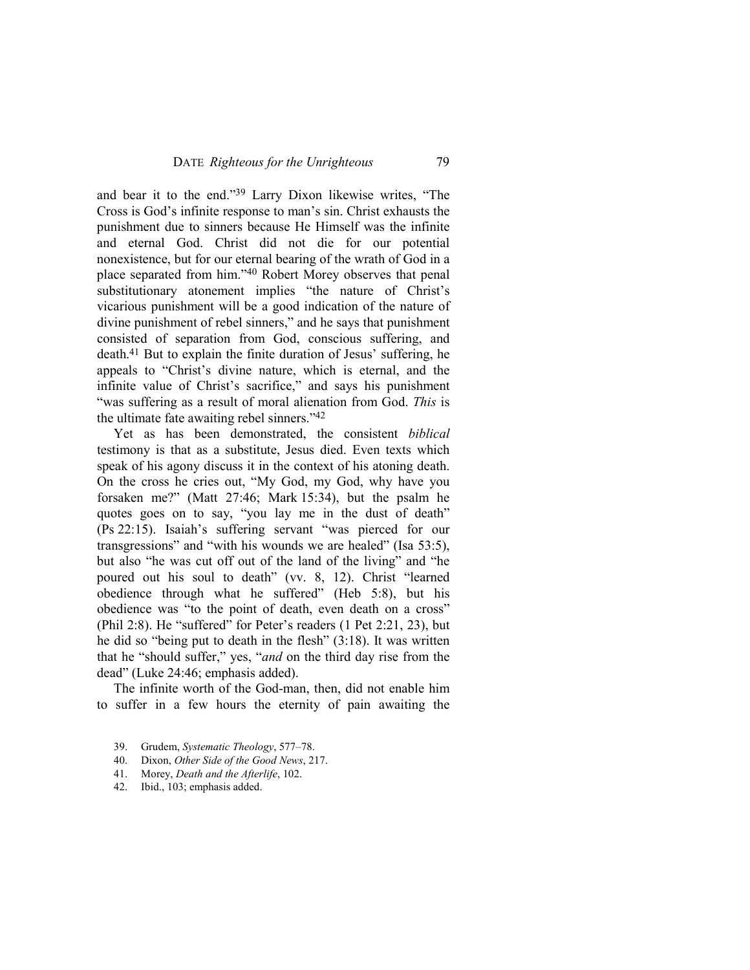and bear it to the end."39 Larry Dixon likewise writes, "The Cross is God's infinite response to man's sin. Christ exhausts the punishment due to sinners because He Himself was the infinite and eternal God. Christ did not die for our potential nonexistence, but for our eternal bearing of the wrath of God in a place separated from him."40 Robert Morey observes that penal substitutionary atonement implies "the nature of Christ's vicarious punishment will be a good indication of the nature of divine punishment of rebel sinners," and he says that punishment consisted of separation from God, conscious suffering, and death.41 But to explain the finite duration of Jesus' suffering, he appeals to "Christ's divine nature, which is eternal, and the infinite value of Christ's sacrifice," and says his punishment "was suffering as a result of moral alienation from God. *This* is the ultimate fate awaiting rebel sinners."<sup>42</sup>

Yet as has been demonstrated, the consistent *biblical* testimony is that as a substitute, Jesus died. Even texts which speak of his agony discuss it in the context of his atoning death. On the cross he cries out, "My God, my God, why have you forsaken me?" (Matt 27:46; Mark 15:34), but the psalm he quotes goes on to say, "you lay me in the dust of death" (Ps 22:15). Isaiah's suffering servant "was pierced for our transgressions" and "with his wounds we are healed" (Isa 53:5), but also "he was cut off out of the land of the living" and "he poured out his soul to death" (vv. 8, 12). Christ "learned obedience through what he suffered" (Heb 5:8), but his obedience was "to the point of death, even death on a cross" (Phil 2:8). He "suffered" for Peter's readers (1 Pet 2:21, 23), but he did so "being put to death in the flesh" (3:18). It was written that he "should suffer," yes, "*and* on the third day rise from the dead" (Luke 24:46; emphasis added).

The infinite worth of the God-man, then, did not enable him to suffer in a few hours the eternity of pain awaiting the

- 39. Grudem, *Systematic Theology*, 577–78.
- 40. Dixon, *Other Side of the Good News*, 217.
- 41. Morey, *Death and the Afterlife*, 102.
- 42. Ibid., 103; emphasis added.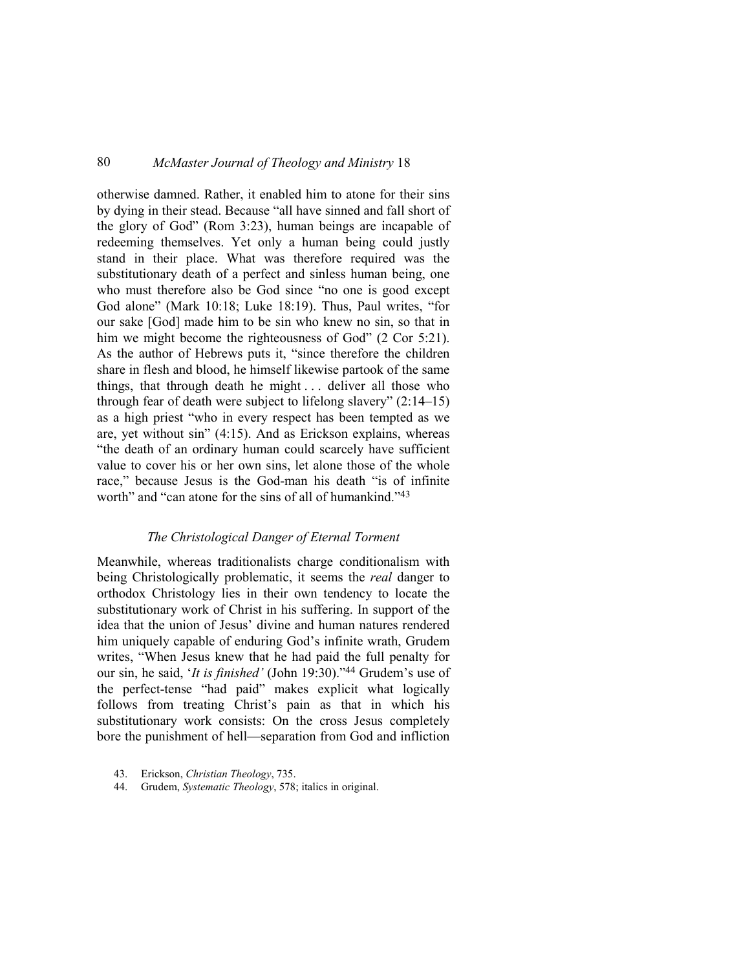otherwise damned. Rather, it enabled him to atone for their sins by dying in their stead. Because "all have sinned and fall short of the glory of God" (Rom 3:23), human beings are incapable of redeeming themselves. Yet only a human being could justly stand in their place. What was therefore required was the substitutionary death of a perfect and sinless human being, one who must therefore also be God since "no one is good except God alone" (Mark 10:18; Luke 18:19). Thus, Paul writes, "for our sake [God] made him to be sin who knew no sin, so that in him we might become the righteousness of God" (2 Cor 5:21). As the author of Hebrews puts it, "since therefore the children share in flesh and blood, he himself likewise partook of the same things, that through death he might . . . deliver all those who through fear of death were subject to lifelong slavery" (2:14–15) as a high priest "who in every respect has been tempted as we are, yet without sin" (4:15). And as Erickson explains, whereas "the death of an ordinary human could scarcely have sufficient value to cover his or her own sins, let alone those of the whole race," because Jesus is the God-man his death "is of infinite worth" and "can atone for the sins of all of humankind."<sup>43</sup>

### *The Christological Danger of Eternal Torment*

Meanwhile, whereas traditionalists charge conditionalism with being Christologically problematic, it seems the *real* danger to orthodox Christology lies in their own tendency to locate the substitutionary work of Christ in his suffering. In support of the idea that the union of Jesus' divine and human natures rendered him uniquely capable of enduring God's infinite wrath, Grudem writes, "When Jesus knew that he had paid the full penalty for our sin, he said, '*It is finished'* (John 19:30)."44 Grudem's use of the perfect-tense "had paid" makes explicit what logically follows from treating Christ's pain as that in which his substitutionary work consists: On the cross Jesus completely bore the punishment of hell—separation from God and infliction

44. Grudem, *Systematic Theology*, 578; italics in original.

<sup>43.</sup> Erickson, *Christian Theology*, 735.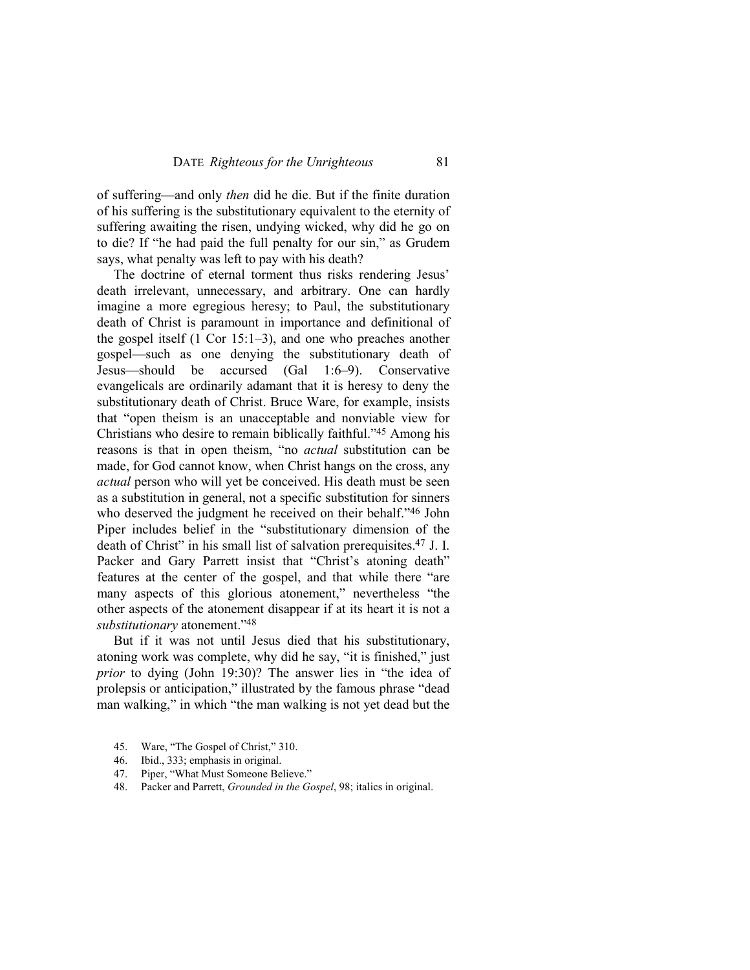of suffering—and only *then* did he die. But if the finite duration of his suffering is the substitutionary equivalent to the eternity of suffering awaiting the risen, undying wicked, why did he go on to die? If "he had paid the full penalty for our sin," as Grudem says, what penalty was left to pay with his death?

The doctrine of eternal torment thus risks rendering Jesus' death irrelevant, unnecessary, and arbitrary. One can hardly imagine a more egregious heresy; to Paul, the substitutionary death of Christ is paramount in importance and definitional of the gospel itself (1 Cor 15:1–3), and one who preaches another gospel—such as one denying the substitutionary death of Jesus—should be accursed (Gal 1:6–9). Conservative evangelicals are ordinarily adamant that it is heresy to deny the substitutionary death of Christ. Bruce Ware, for example, insists that "open theism is an unacceptable and nonviable view for Christians who desire to remain biblically faithful."45 Among his reasons is that in open theism, "no *actual* substitution can be made, for God cannot know, when Christ hangs on the cross, any *actual* person who will yet be conceived. His death must be seen as a substitution in general, not a specific substitution for sinners who deserved the judgment he received on their behalf."<sup>46</sup> John Piper includes belief in the "substitutionary dimension of the death of Christ" in his small list of salvation prerequisites.47 J. I. Packer and Gary Parrett insist that "Christ's atoning death" features at the center of the gospel, and that while there "are many aspects of this glorious atonement," nevertheless "the other aspects of the atonement disappear if at its heart it is not a *substitutionary* atonement."<sup>48</sup>

But if it was not until Jesus died that his substitutionary, atoning work was complete, why did he say, "it is finished," just *prior* to dying (John 19:30)? The answer lies in "the idea of prolepsis or anticipation," illustrated by the famous phrase "dead man walking," in which "the man walking is not yet dead but the

- 45. Ware, "The Gospel of Christ," 310.
- 46. Ibid., 333; emphasis in original.
- 47. Piper, "What Must Someone Believe."
- 48. Packer and Parrett, *Grounded in the Gospel*, 98; italics in original.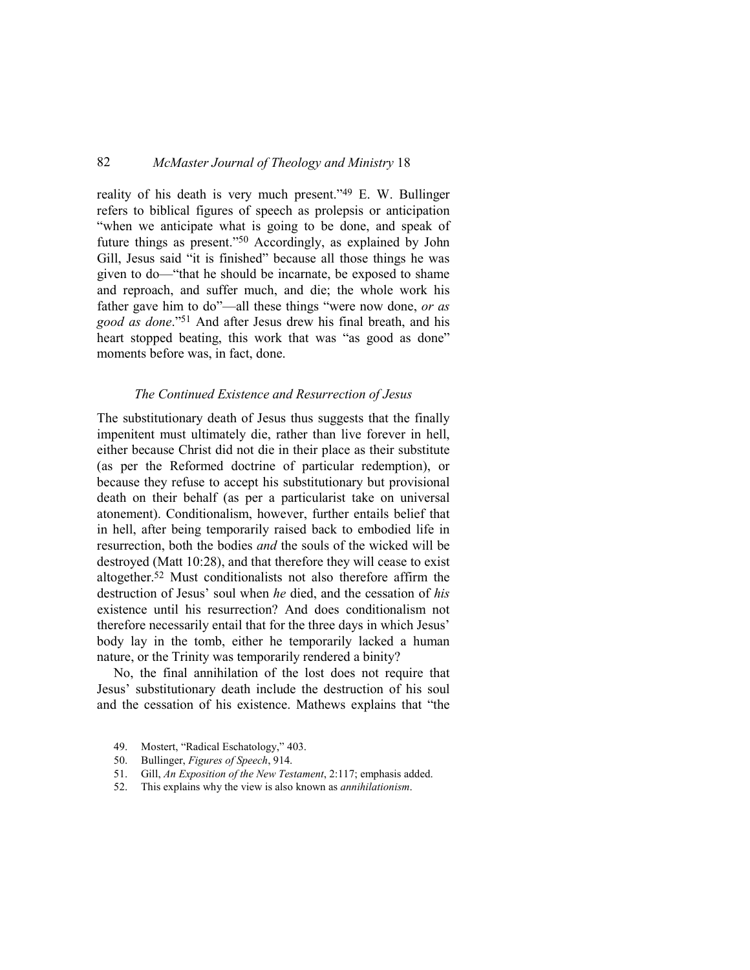reality of his death is very much present."49 E. W. Bullinger refers to biblical figures of speech as prolepsis or anticipation "when we anticipate what is going to be done, and speak of future things as present."50 Accordingly, as explained by John Gill, Jesus said "it is finished" because all those things he was given to do—"that he should be incarnate, be exposed to shame and reproach, and suffer much, and die; the whole work his father gave him to do"—all these things "were now done, *or as good as done*."51 And after Jesus drew his final breath, and his heart stopped beating, this work that was "as good as done" moments before was, in fact, done.

#### *The Continued Existence and Resurrection of Jesus*

The substitutionary death of Jesus thus suggests that the finally impenitent must ultimately die, rather than live forever in hell, either because Christ did not die in their place as their substitute (as per the Reformed doctrine of particular redemption), or because they refuse to accept his substitutionary but provisional death on their behalf (as per a particularist take on universal atonement). Conditionalism, however, further entails belief that in hell, after being temporarily raised back to embodied life in resurrection, both the bodies *and* the souls of the wicked will be destroyed (Matt 10:28), and that therefore they will cease to exist altogether.52 Must conditionalists not also therefore affirm the destruction of Jesus' soul when *he* died, and the cessation of *his* existence until his resurrection? And does conditionalism not therefore necessarily entail that for the three days in which Jesus' body lay in the tomb, either he temporarily lacked a human nature, or the Trinity was temporarily rendered a binity?

No, the final annihilation of the lost does not require that Jesus' substitutionary death include the destruction of his soul and the cessation of his existence. Mathews explains that "the

- 49. Mostert, "Radical Eschatology," 403.
- 50. Bullinger, *Figures of Speech*, 914.
- 51. Gill, *An Exposition of the New Testament*, 2:117; emphasis added.
- 52. This explains why the view is also known as *annihilationism*.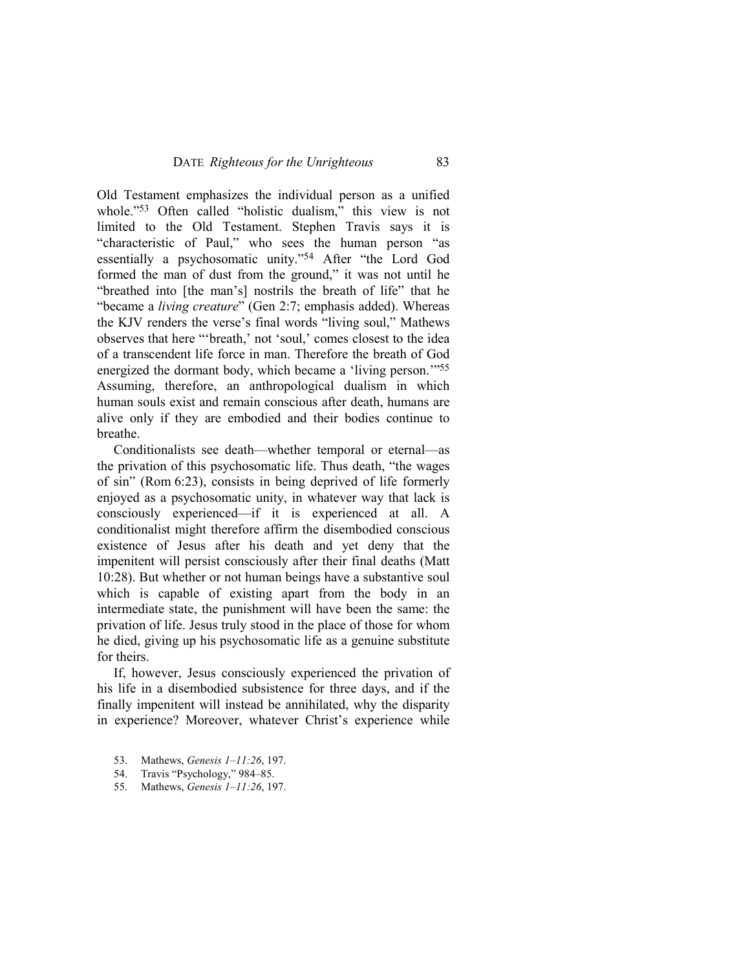Old Testament emphasizes the individual person as a unified whole."<sup>53</sup> Often called "holistic dualism," this view is not limited to the Old Testament. Stephen Travis says it is "characteristic of Paul," who sees the human person "as essentially a psychosomatic unity."54 After "the Lord God formed the man of dust from the ground," it was not until he "breathed into [the man's] nostrils the breath of life" that he "became a *living creature*" (Gen 2:7; emphasis added). Whereas the KJV renders the verse's final words "living soul," Mathews observes that here "'breath,' not 'soul,' comes closest to the idea of a transcendent life force in man. Therefore the breath of God energized the dormant body, which became a 'living person.'"<sup>55</sup> Assuming, therefore, an anthropological dualism in which human souls exist and remain conscious after death, humans are alive only if they are embodied and their bodies continue to breathe.

Conditionalists see death—whether temporal or eternal—as the privation of this psychosomatic life. Thus death, "the wages of sin" (Rom 6:23), consists in being deprived of life formerly enjoyed as a psychosomatic unity, in whatever way that lack is consciously experienced—if it is experienced at all. A conditionalist might therefore affirm the disembodied conscious existence of Jesus after his death and yet deny that the impenitent will persist consciously after their final deaths (Matt 10:28). But whether or not human beings have a substantive soul which is capable of existing apart from the body in an intermediate state, the punishment will have been the same: the privation of life. Jesus truly stood in the place of those for whom he died, giving up his psychosomatic life as a genuine substitute for theirs.

If, however, Jesus consciously experienced the privation of his life in a disembodied subsistence for three days, and if the finally impenitent will instead be annihilated, why the disparity in experience? Moreover, whatever Christ's experience while

- 53. Mathews, *Genesis 1–11:26*, 197.
- 54. Travis "Psychology," 984–85.
- 55. Mathews, *Genesis 1–11:26*, 197.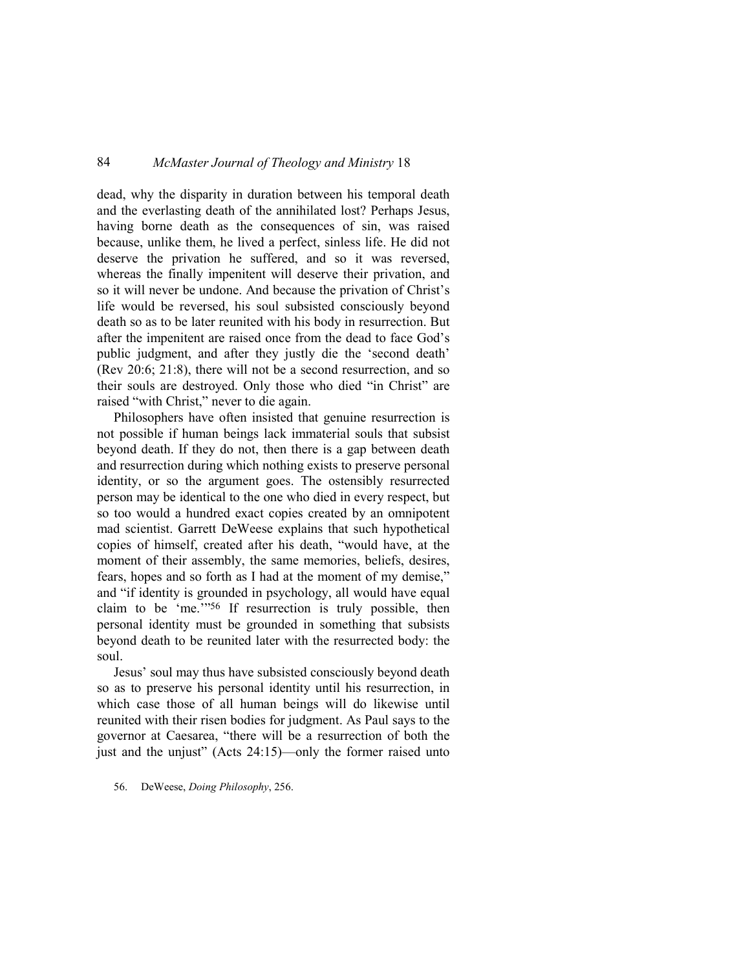dead, why the disparity in duration between his temporal death and the everlasting death of the annihilated lost? Perhaps Jesus, having borne death as the consequences of sin, was raised because, unlike them, he lived a perfect, sinless life. He did not deserve the privation he suffered, and so it was reversed, whereas the finally impenitent will deserve their privation, and so it will never be undone. And because the privation of Christ's life would be reversed, his soul subsisted consciously beyond death so as to be later reunited with his body in resurrection. But after the impenitent are raised once from the dead to face God's public judgment, and after they justly die the 'second death' (Rev 20:6; 21:8), there will not be a second resurrection, and so their souls are destroyed. Only those who died "in Christ" are raised "with Christ," never to die again.

Philosophers have often insisted that genuine resurrection is not possible if human beings lack immaterial souls that subsist beyond death. If they do not, then there is a gap between death and resurrection during which nothing exists to preserve personal identity, or so the argument goes. The ostensibly resurrected person may be identical to the one who died in every respect, but so too would a hundred exact copies created by an omnipotent mad scientist. Garrett DeWeese explains that such hypothetical copies of himself, created after his death, "would have, at the moment of their assembly, the same memories, beliefs, desires, fears, hopes and so forth as I had at the moment of my demise," and "if identity is grounded in psychology, all would have equal claim to be 'me.'"56 If resurrection is truly possible, then personal identity must be grounded in something that subsists beyond death to be reunited later with the resurrected body: the soul.

Jesus' soul may thus have subsisted consciously beyond death so as to preserve his personal identity until his resurrection, in which case those of all human beings will do likewise until reunited with their risen bodies for judgment. As Paul says to the governor at Caesarea, "there will be a resurrection of both the just and the unjust" (Acts 24:15)—only the former raised unto

#### 56. DeWeese, *Doing Philosophy*, 256.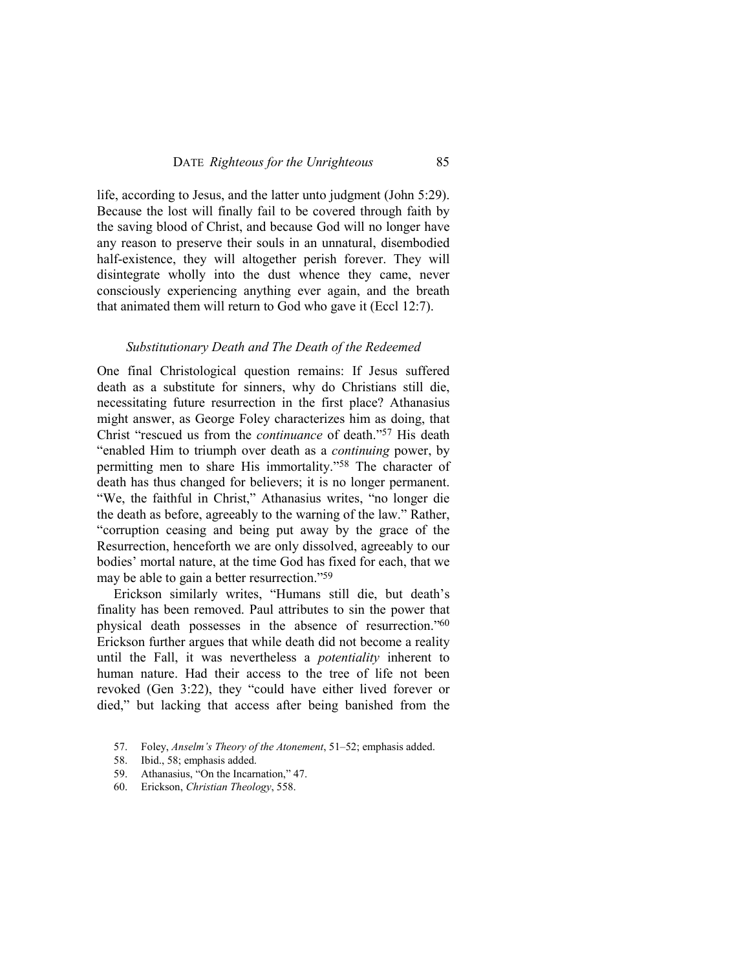life, according to Jesus, and the latter unto judgment (John 5:29). Because the lost will finally fail to be covered through faith by the saving blood of Christ, and because God will no longer have any reason to preserve their souls in an unnatural, disembodied half-existence, they will altogether perish forever. They will disintegrate wholly into the dust whence they came, never consciously experiencing anything ever again, and the breath that animated them will return to God who gave it (Eccl 12:7).

#### *Substitutionary Death and The Death of the Redeemed*

One final Christological question remains: If Jesus suffered death as a substitute for sinners, why do Christians still die, necessitating future resurrection in the first place? Athanasius might answer, as George Foley characterizes him as doing, that Christ "rescued us from the *continuance* of death."57 His death "enabled Him to triumph over death as a *continuing* power, by permitting men to share His immortality."58 The character of death has thus changed for believers; it is no longer permanent. "We, the faithful in Christ," Athanasius writes, "no longer die the death as before, agreeably to the warning of the law." Rather, "corruption ceasing and being put away by the grace of the Resurrection, henceforth we are only dissolved, agreeably to our bodies' mortal nature, at the time God has fixed for each, that we may be able to gain a better resurrection."<sup>59</sup>

Erickson similarly writes, "Humans still die, but death's finality has been removed. Paul attributes to sin the power that physical death possesses in the absence of resurrection."<sup>60</sup> Erickson further argues that while death did not become a reality until the Fall, it was nevertheless a *potentiality* inherent to human nature. Had their access to the tree of life not been revoked (Gen 3:22), they "could have either lived forever or died," but lacking that access after being banished from the

<sup>57.</sup> Foley, *Anselm's Theory of the Atonement*, 51–52; emphasis added.

<sup>58.</sup> Ibid., 58; emphasis added.

<sup>59.</sup> Athanasius, "On the Incarnation," 47.

<sup>60.</sup> Erickson, *Christian Theology*, 558.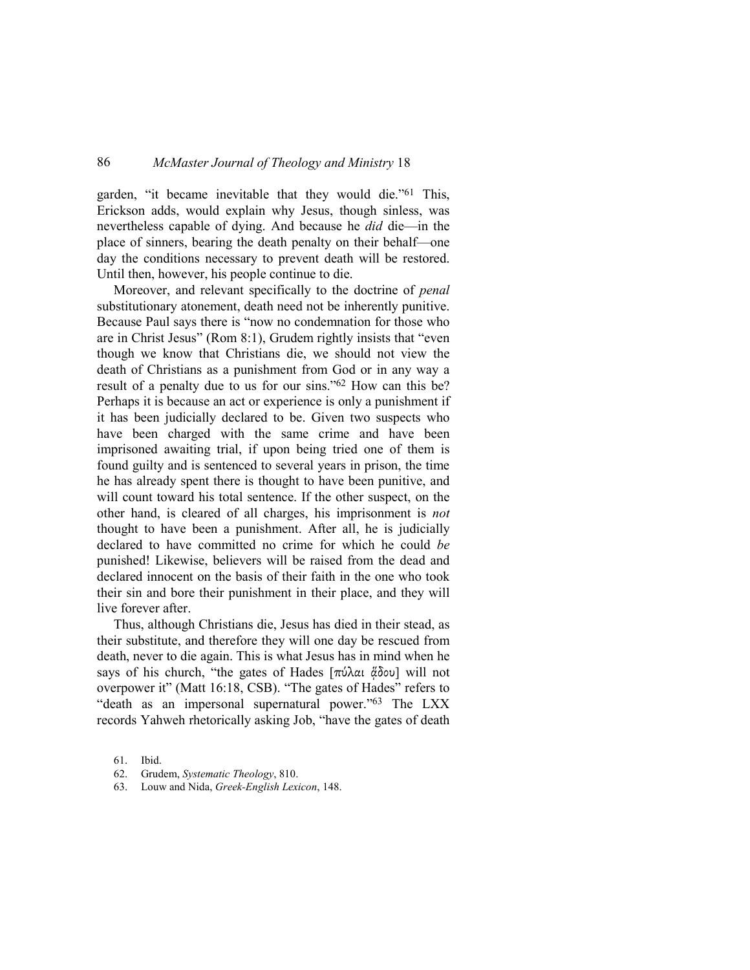garden, "it became inevitable that they would die."61 This, Erickson adds, would explain why Jesus, though sinless, was nevertheless capable of dying. And because he *did* die—in the place of sinners, bearing the death penalty on their behalf—one day the conditions necessary to prevent death will be restored. Until then, however, his people continue to die.

Moreover, and relevant specifically to the doctrine of *penal* substitutionary atonement, death need not be inherently punitive. Because Paul says there is "now no condemnation for those who are in Christ Jesus" (Rom 8:1), Grudem rightly insists that "even though we know that Christians die, we should not view the death of Christians as a punishment from God or in any way a result of a penalty due to us for our sins."62 How can this be? Perhaps it is because an act or experience is only a punishment if it has been judicially declared to be. Given two suspects who have been charged with the same crime and have been imprisoned awaiting trial, if upon being tried one of them is found guilty and is sentenced to several years in prison, the time he has already spent there is thought to have been punitive, and will count toward his total sentence. If the other suspect, on the other hand, is cleared of all charges, his imprisonment is *not* thought to have been a punishment. After all, he is judicially declared to have committed no crime for which he could *be*  punished! Likewise, believers will be raised from the dead and declared innocent on the basis of their faith in the one who took their sin and bore their punishment in their place, and they will live forever after.

Thus, although Christians die, Jesus has died in their stead, as their substitute, and therefore they will one day be rescued from death, never to die again. This is what Jesus has in mind when he says of his church, "the gates of Hades [πύλαι ἄδου] will not overpower it" (Matt 16:18, CSB). "The gates of Hades" refers to "death as an impersonal supernatural power."63 The LXX records Yahweh rhetorically asking Job, "have the gates of death

<sup>61.</sup> Ibid.

<sup>62.</sup> Grudem, *Systematic Theology*, 810.

<sup>63.</sup> Louw and Nida, *Greek-English Lexicon*, 148.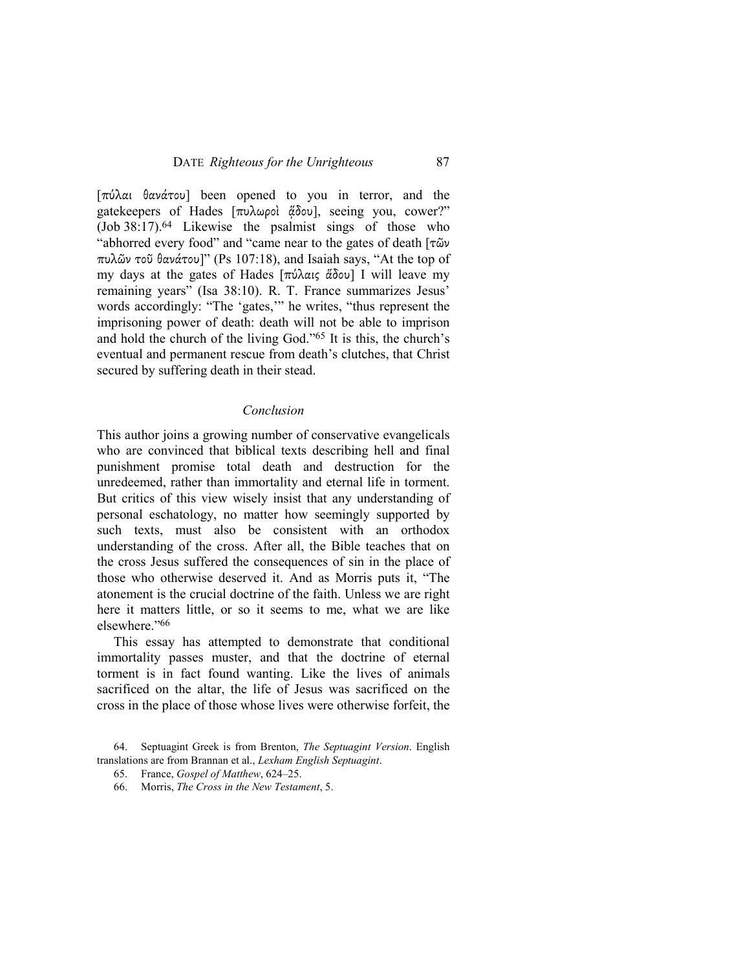[πύλαι θανάτου] been opened to you in terror, and the gatekeepers of Hades [πυλωροὶ ἄδου], seeing you, cower?" (Job 38:17).64 Likewise the psalmist sings of those who "abhorred every food" and "came near to the gates of death [τῶν πυλῶν τοῦ θανάτου]" (Ps 107:18), and Isaiah says, "At the top of my days at the gates of Hades [πύλαις ἅδου] I will leave my remaining years" (Isa 38:10). R. T. France summarizes Jesus' words accordingly: "The 'gates,'" he writes, "thus represent the imprisoning power of death: death will not be able to imprison and hold the church of the living God."65 It is this, the church's eventual and permanent rescue from death's clutches, that Christ secured by suffering death in their stead.

### *Conclusion*

This author joins a growing number of conservative evangelicals who are convinced that biblical texts describing hell and final punishment promise total death and destruction for the unredeemed, rather than immortality and eternal life in torment. But critics of this view wisely insist that any understanding of personal eschatology, no matter how seemingly supported by such texts, must also be consistent with an orthodox understanding of the cross. After all, the Bible teaches that on the cross Jesus suffered the consequences of sin in the place of those who otherwise deserved it. And as Morris puts it, "The atonement is the crucial doctrine of the faith. Unless we are right here it matters little, or so it seems to me, what we are like elsewhere."<sup>66</sup>

This essay has attempted to demonstrate that conditional immortality passes muster, and that the doctrine of eternal torment is in fact found wanting. Like the lives of animals sacrificed on the altar, the life of Jesus was sacrificed on the cross in the place of those whose lives were otherwise forfeit, the

<sup>64.</sup> Septuagint Greek is from Brenton, *The Septuagint Version*. English translations are from Brannan et al., *Lexham English Septuagint*.

<sup>65.</sup> France, *Gospel of Matthew*, 624–25.

<sup>66.</sup> Morris, *The Cross in the New Testament*, 5.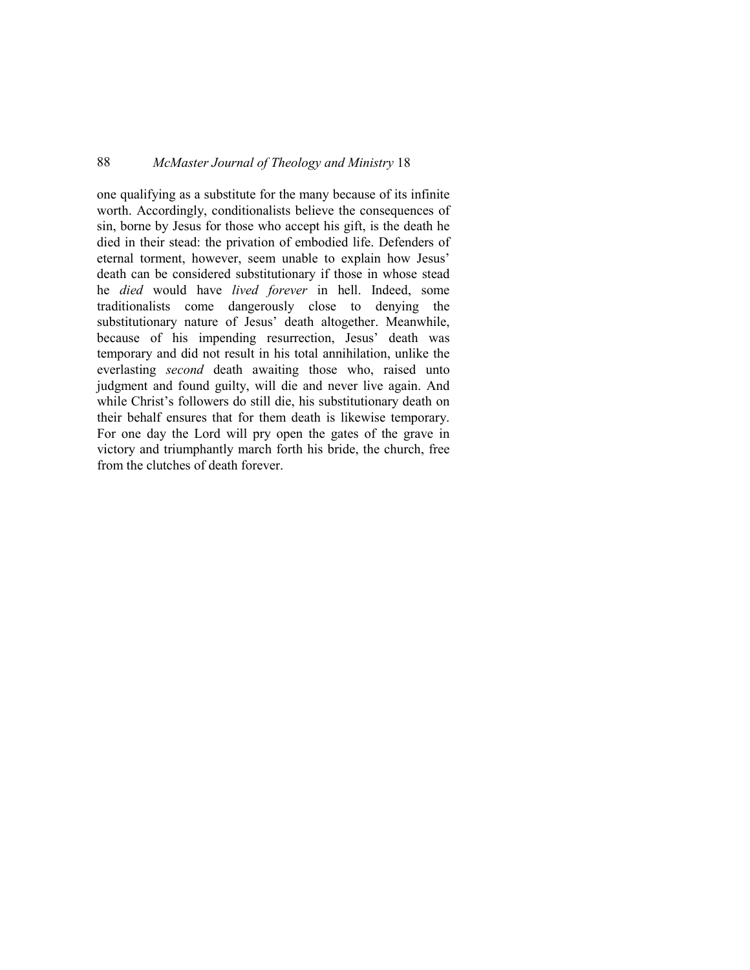one qualifying as a substitute for the many because of its infinite worth. Accordingly, conditionalists believe the consequences of sin, borne by Jesus for those who accept his gift, is the death he died in their stead: the privation of embodied life. Defenders of eternal torment, however, seem unable to explain how Jesus' death can be considered substitutionary if those in whose stead he *died* would have *lived forever* in hell. Indeed, some traditionalists come dangerously close to denying the substitutionary nature of Jesus' death altogether. Meanwhile, because of his impending resurrection, Jesus' death was temporary and did not result in his total annihilation, unlike the everlasting *second* death awaiting those who, raised unto judgment and found guilty, will die and never live again. And while Christ's followers do still die, his substitutionary death on their behalf ensures that for them death is likewise temporary. For one day the Lord will pry open the gates of the grave in victory and triumphantly march forth his bride, the church, free from the clutches of death forever.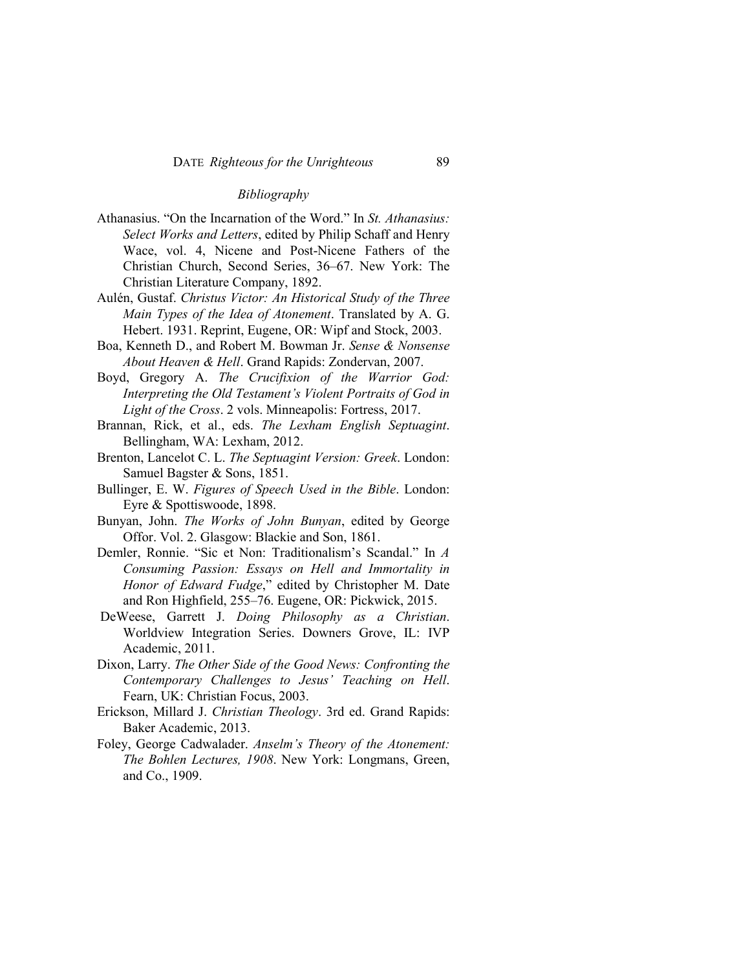### *Bibliography*

- Athanasius. "On the Incarnation of the Word." In *St. Athanasius: Select Works and Letters*, edited by Philip Schaff and Henry Wace, vol. 4, Nicene and Post-Nicene Fathers of the Christian Church, Second Series, 36–67. New York: The Christian Literature Company, 1892.
- Aulén, Gustaf. *Christus Victor: An Historical Study of the Three Main Types of the Idea of Atonement*. Translated by A. G. Hebert. 1931. Reprint, Eugene, OR: Wipf and Stock, 2003.
- Boa, Kenneth D., and Robert M. Bowman Jr. *Sense & Nonsense About Heaven & Hell*. Grand Rapids: Zondervan, 2007.
- Boyd, Gregory A. *The Crucifixion of the Warrior God: Interpreting the Old Testament's Violent Portraits of God in Light of the Cross*. 2 vols. Minneapolis: Fortress, 2017.
- Brannan, Rick, et al., eds. *The Lexham English Septuagint*. Bellingham, WA: Lexham, 2012.
- Brenton, Lancelot C. L. *The Septuagint Version: Greek*. London: Samuel Bagster & Sons, 1851.
- Bullinger, E. W. *Figures of Speech Used in the Bible*. London: Eyre & Spottiswoode, 1898.
- Bunyan, John. *The Works of John Bunyan*, edited by George Offor. Vol. 2. Glasgow: Blackie and Son, 1861.
- Demler, Ronnie. "Sic et Non: Traditionalism's Scandal." In *A Consuming Passion: Essays on Hell and Immortality in Honor of Edward Fudge*," edited by Christopher M. Date and Ron Highfield, 255–76. Eugene, OR: Pickwick, 2015.
- DeWeese, Garrett J. *Doing Philosophy as a Christian*. Worldview Integration Series. Downers Grove, IL: IVP Academic, 2011.
- Dixon, Larry. *The Other Side of the Good News: Confronting the Contemporary Challenges to Jesus' Teaching on Hell*. Fearn, UK: Christian Focus, 2003.
- Erickson, Millard J. *Christian Theology*. 3rd ed. Grand Rapids: Baker Academic, 2013.
- Foley, George Cadwalader. *Anselm's Theory of the Atonement: The Bohlen Lectures, 1908*. New York: Longmans, Green, and Co., 1909.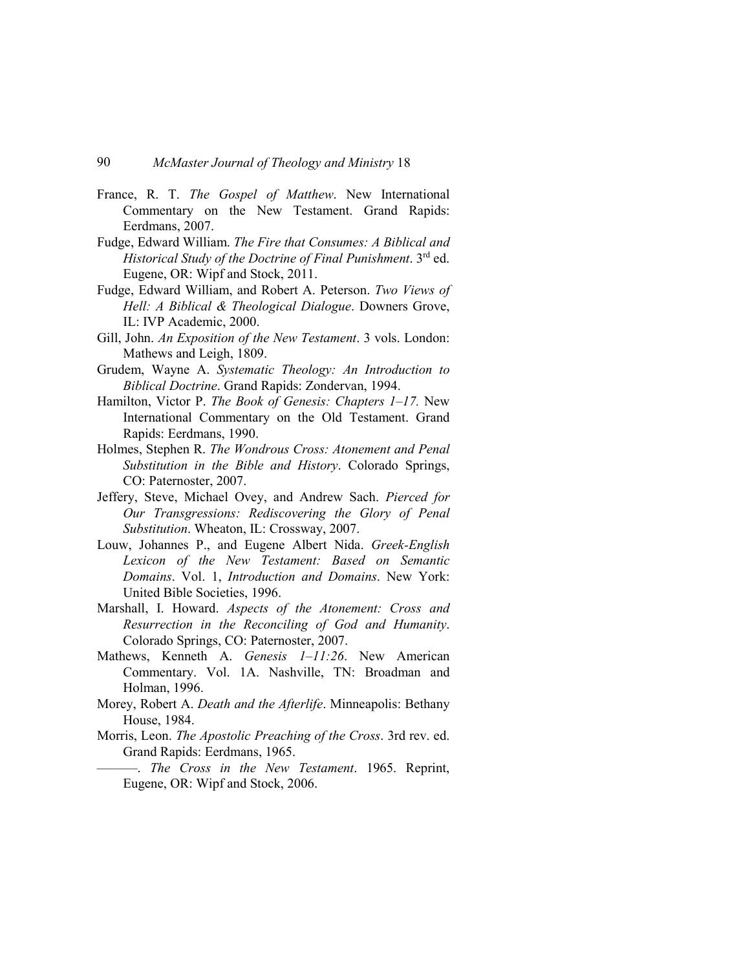- France, R. T. *The Gospel of Matthew*. New International Commentary on the New Testament. Grand Rapids: Eerdmans, 2007.
- Fudge, Edward William. *The Fire that Consumes: A Biblical and Historical Study of the Doctrine of Final Punishment*. 3rd ed. Eugene, OR: Wipf and Stock, 2011.
- Fudge, Edward William, and Robert A. Peterson. *Two Views of Hell: A Biblical & Theological Dialogue*. Downers Grove, IL: IVP Academic, 2000.
- Gill, John. *An Exposition of the New Testament*. 3 vols. London: Mathews and Leigh, 1809.
- Grudem, Wayne A. *Systematic Theology: An Introduction to Biblical Doctrine*. Grand Rapids: Zondervan, 1994.
- Hamilton, Victor P. *The Book of Genesis: Chapters 1–17.* New International Commentary on the Old Testament. Grand Rapids: Eerdmans, 1990.
- Holmes, Stephen R. *The Wondrous Cross: Atonement and Penal Substitution in the Bible and History*. Colorado Springs, CO: Paternoster, 2007.
- Jeffery, Steve, Michael Ovey, and Andrew Sach. *Pierced for Our Transgressions: Rediscovering the Glory of Penal Substitution*. Wheaton, IL: Crossway, 2007.
- Louw, Johannes P., and Eugene Albert Nida. *Greek-English Lexicon of the New Testament: Based on Semantic Domains*. Vol. 1, *Introduction and Domains*. New York: United Bible Societies, 1996.
- Marshall, I. Howard. *Aspects of the Atonement: Cross and Resurrection in the Reconciling of God and Humanity*. Colorado Springs, CO: Paternoster, 2007.
- Mathews, Kenneth A. *Genesis 1–11:26*. New American Commentary. Vol. 1A. Nashville, TN: Broadman and Holman, 1996.
- Morey, Robert A. *Death and the Afterlife*. Minneapolis: Bethany House, 1984.
- Morris, Leon. *The Apostolic Preaching of the Cross*. 3rd rev. ed. Grand Rapids: Eerdmans, 1965.
	- ———. *The Cross in the New Testament*. 1965. Reprint, Eugene, OR: Wipf and Stock, 2006.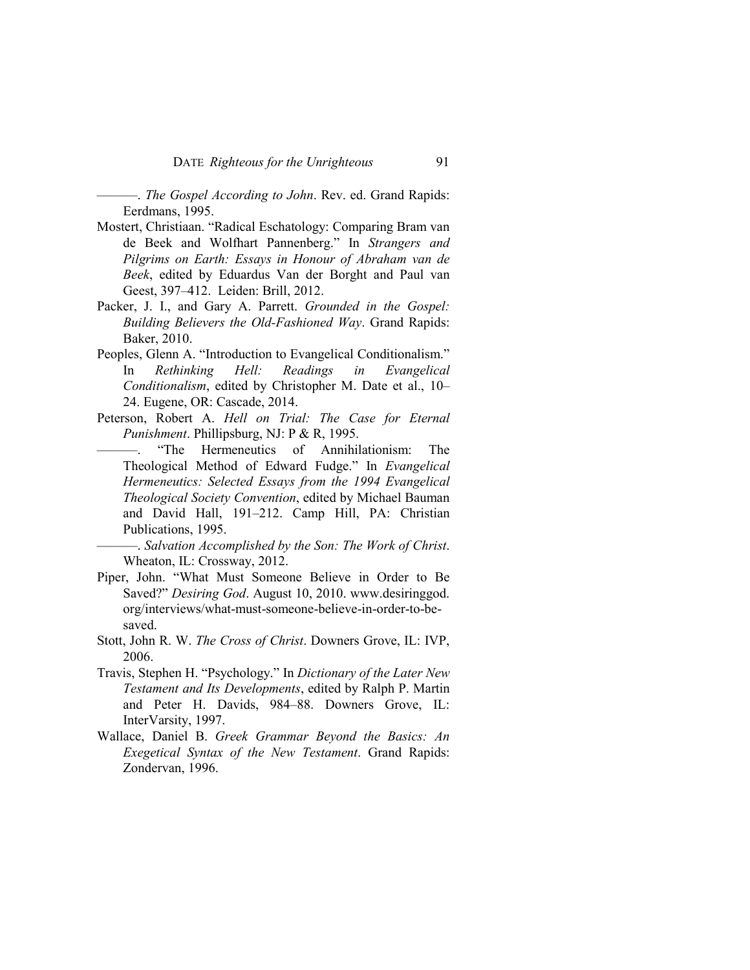———. *The Gospel According to John*. Rev. ed. Grand Rapids: Eerdmans, 1995.

- Mostert, Christiaan. "Radical Eschatology: Comparing Bram van de Beek and Wolfhart Pannenberg." In *Strangers and Pilgrims on Earth: Essays in Honour of Abraham van de Beek*, edited by Eduardus Van der Borght and Paul van Geest, 397–412. Leiden: Brill, 2012.
- Packer, J. I., and Gary A. Parrett. *Grounded in the Gospel: Building Believers the Old-Fashioned Way*. Grand Rapids: Baker, 2010.
- Peoples, Glenn A. "Introduction to Evangelical Conditionalism." In *Rethinking Hell: Readings in Evangelical Conditionalism*, edited by Christopher M. Date et al., 10– 24. Eugene, OR: Cascade, 2014.
- Peterson, Robert A. *Hell on Trial: The Case for Eternal Punishment*. Phillipsburg, NJ: P & R, 1995.
	- "The Hermeneutics of Annihilationism: The Theological Method of Edward Fudge." In *Evangelical Hermeneutics: Selected Essays from the 1994 Evangelical Theological Society Convention*, edited by Michael Bauman and David Hall, 191–212. Camp Hill, PA: Christian Publications, 1995.

———. *Salvation Accomplished by the Son: The Work of Christ*. Wheaton, IL: Crossway, 2012.

- Piper, John. "What Must Someone Believe in Order to Be Saved?" *Desiring God*. August 10, 2010. www.desiringgod. org/interviews/what-must-someone-believe-in-order-to-besaved.
- Stott, John R. W. *The Cross of Christ*. Downers Grove, IL: IVP, 2006.
- Travis, Stephen H. "Psychology." In *Dictionary of the Later New Testament and Its Developments*, edited by Ralph P. Martin and Peter H. Davids, 984–88. Downers Grove, IL: InterVarsity, 1997.
- Wallace, Daniel B. *Greek Grammar Beyond the Basics: An Exegetical Syntax of the New Testament*. Grand Rapids: Zondervan, 1996.